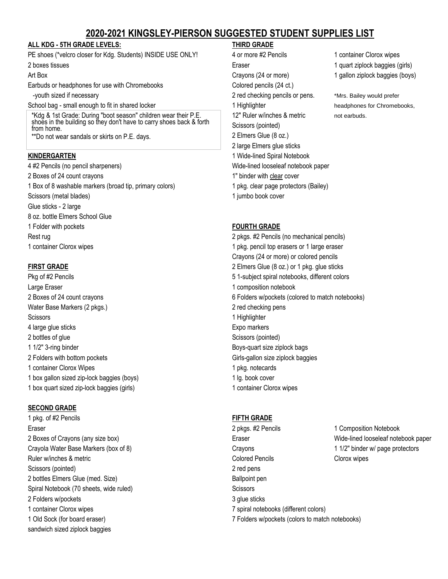# **2020-2021 KINGSLEY-PIERSON SUGGESTED STUDENT SUPPLIES LIST**

## **ALL KDG - 5TH GRADE LEVELS: THIRD GRADE**

PE shoes (\*velcro closer for Kdg. Students) INSIDE USE ONLY! 4 or more #2 Pencils 1 container Clorox wipes 2 boxes tissues **Eraser** Eraser **Example 2** boxes tissues (girls) and the Eraser **1** quart ziplock baggies (girls)

Earbuds or headphones for use with Chromebooks Colored pencils (24 ct.)

### School bag - small enough to fit in shared locker 1 **1 Highlighter** 1 Highlighter 1 Highlighter headphones for Chromebooks,

\*Kdg & 1st Grade: During "boot season" children wear their P.E. shoes in the building so they don't have to carry shoes back & forth from home.

\*\*Do not wear sandals or skirts on P.E. days.

4 #2 Pencils (no pencil sharpeners) Wide-lined looseleaf notebook paper 2 Boxes of 24 count crayons 1" binder with clear cover 1 Box of 8 washable markers (broad tip, primary colors) 1 pkg. clear page protectors (Bailey) Scissors (metal blades) and the set of the set of the set of the set of the set of the set of the set of the set of the set of the set of the set of the set of the set of the set of the set of the set of the set of the set Glue sticks - 2 large 8 oz. bottle Elmers School Glue 1 Folder with pockets **FOURTH GRADE** Rest rug 2 pkgs. #2 Pencils (no mechanical pencils) 1 container Clorox wipes 1 pkg. pencil top erasers or 1 large eraser

Large Eraser 1 composition notebook Water Base Markers (2 pkgs.) 2 red checking pens Scissors 1 Highlighter 1 Highlighter 1 Highlighter 1 Highlighter 1 Highlighter 1 Highlighter 1 Highlighter 1 Highlighter 1 Highlighter 1 Highlighter 1 Highlighter 1 Highlighter 1 Highlighter 1 Highlighter 1 Highlighter 1 H 4 large glue sticks **Expo markers** Expo markers 2 bottles of glue Scissors (pointed) 1 1/2" 3-ring binder Boys-quart size ziplock bags 2 Folders with bottom pockets Girls-gallon size ziplock baggies 1 container Clorox Wipes 1 pkg. notecards 1 box gallon sized zip-lock baggies (boys) 1 lg. book cover 1 box quart sized zip-lock baggies (girls) 1 container Clorox wipes

# **SECOND GRADE**

1 pkg. of #2 Pencils **FIFTH GRADE** Scissors (pointed) 2 red pens 2 bottles Elmers Glue (med. Size) and a series of the Ballpoint pen Spiral Notebook (70 sheets, wide ruled) Scissors Scissors 2 Folders w/pockets 3 glue sticks 1 container Clorox wipes 7 spiral notebooks (different colors) sandwich sized ziplock baggies

Art Box **Crayons (24 or more)** 1 gallon ziplock baggies (boys) **Crayons (24 or more)** 1 gallon ziplock baggies (boys) -youth sized if necessary 2 red checking pencils or pens. \*Mrs. Bailey would prefer 12" Ruler w/inches & metric not earbuds. Scissors (pointed) 2 Elmers Glue (8 oz.) 2 large Elmers glue sticks **KINDERGARTEN** 1 Wide-lined Spiral Notebook

Crayons (24 or more) or colored pencils **FIRST GRADE** 2 Elmers Glue (8 oz.) or 1 pkg. glue sticks Pkg of #2 Pencils 5 1-subject spiral notebooks, different colors 2 Boxes of 24 count crayons 6 Folders w/pockets (colored to match notebooks)

Eraser 2 pkgs. #2 Pencils 2 pkgs. #2 Pencils 2 pkgs. #2 Pencils 2 pkgs. #2 Pencils 2 pkgs. #2 Pencils 2 pkgs. #2 Pencils 2 pkgs. #2 Pencils 2 pkgs. #2 Pencils 2 pkgs. #2 Pencils 2 pkgs. #2 Pencils 2 pkgs. #2 Pencils 2 pkgs 2 Boxes of Crayons (any size box) Eraser Wide-lined looseleaf notebook paper Crayola Water Base Markers (box of 8) Crayons 1 1/2" binder w/ page protectors Ruler w/inches & metric Colored Pencils Clorox wipes 1 Old Sock (for board eraser) 7 Folders w/pockets (colors to match notebooks)

- 
-